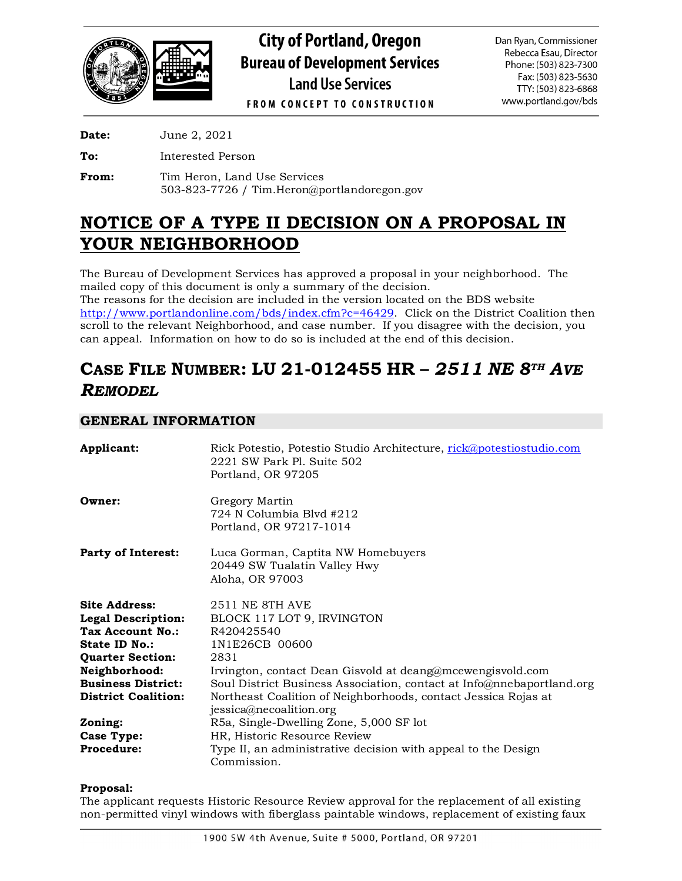

**City of Portland, Oregon Bureau of Development Services Land Use Services FROM CONCEPT TO CONSTRUCTION** 

Dan Ryan, Commissioner Rebecca Esau, Director Phone: (503) 823-7300 Fax: (503) 823-5630 TTY: (503) 823-6868 www.portland.gov/bds

**Date:** June 2, 2021

**To:** Interested Person

From: Tim Heron, Land Use Services 503-823-7726 / Tim.Heron@portlandoregon.gov

# **NOTICE OF A TYPE II DECISION ON A PROPOSAL IN YOUR NEIGHBORHOOD**

The Bureau of Development Services has approved a proposal in your neighborhood. The mailed copy of this document is only a summary of the decision.

The reasons for the decision are included in the version located on the BDS website [http://www.portlandonline.com/bds/index.cfm?c=46429.](http://www.portlandonline.com/bds/index.cfm?c=46429) Click on the District Coalition then scroll to the relevant Neighborhood, and case number. If you disagree with the decision, you can appeal. Information on how to do so is included at the end of this decision.

# **CASE FILE NUMBER: LU 21-012455 HR –** *2511 NE 8TH AVE REMODEL*

# **GENERAL INFORMATION**

| Applicant:                 | Rick Potestio, Potestio Studio Architecture, rick@potestiostudio.com<br>2221 SW Park PL Suite 502<br>Portland, OR 97205 |
|----------------------------|-------------------------------------------------------------------------------------------------------------------------|
| Owner:                     | Gregory Martin<br>724 N Columbia Blvd #212<br>Portland, OR 97217-1014                                                   |
| <b>Party of Interest:</b>  | Luca Gorman, Captita NW Homebuyers<br>20449 SW Tualatin Valley Hwy<br>Aloha, OR 97003                                   |
| <b>Site Address:</b>       | 2511 NE 8TH AVE                                                                                                         |
| <b>Legal Description:</b>  | BLOCK 117 LOT 9, IRVINGTON                                                                                              |
| <b>Tax Account No.:</b>    | R420425540                                                                                                              |
| State ID No.:              | 1N1E26CB 00600                                                                                                          |
| <b>Quarter Section:</b>    | 2831                                                                                                                    |
| Neighborhood:              | Irvington, contact Dean Gisvold at deang@mcewengisvold.com                                                              |
| <b>Business District:</b>  | Soul District Business Association, contact at Info@nnebaportland.org                                                   |
| <b>District Coalition:</b> | Northeast Coalition of Neighborhoods, contact Jessica Rojas at<br>jessica@necoalition.org                               |
| Zoning:                    | R5a, Single-Dwelling Zone, 5,000 SF lot                                                                                 |
| Case Type:                 | HR, Historic Resource Review                                                                                            |
| <b>Procedure:</b>          | Type II, an administrative decision with appeal to the Design<br>Commission.                                            |

**Proposal:**

The applicant requests Historic Resource Review approval for the replacement of all existing non-permitted vinyl windows with fiberglass paintable windows, replacement of existing faux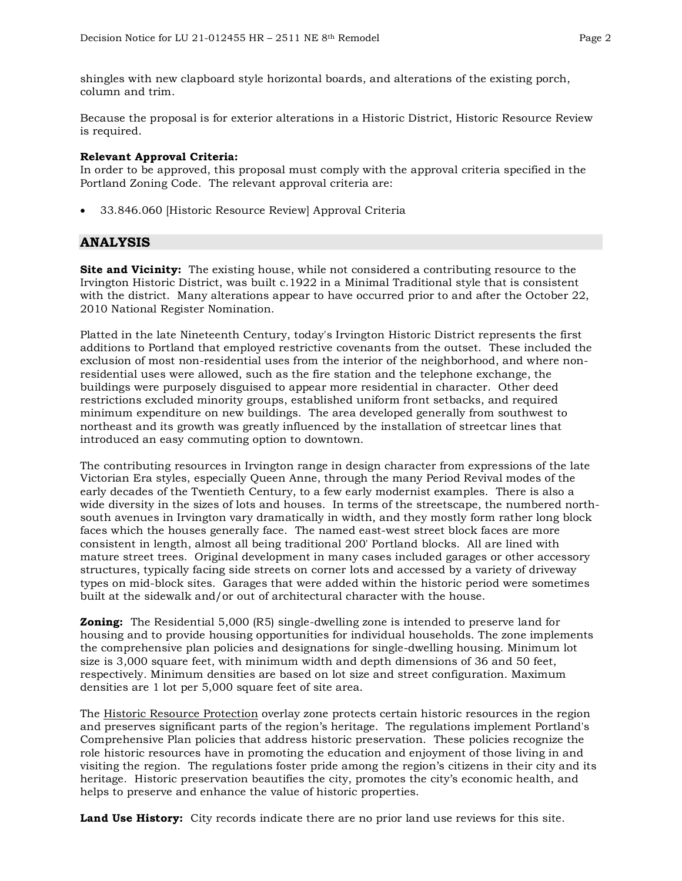shingles with new clapboard style horizontal boards, and alterations of the existing porch, column and trim.

Because the proposal is for exterior alterations in a Historic District, Historic Resource Review is required.

### **Relevant Approval Criteria:**

In order to be approved, this proposal must comply with the approval criteria specified in the Portland Zoning Code. The relevant approval criteria are:

• 33.846.060 [Historic Resource Review] Approval Criteria

### **ANALYSIS**

**Site and Vicinity:** The existing house, while not considered a contributing resource to the Irvington Historic District, was built c.1922 in a Minimal Traditional style that is consistent with the district. Many alterations appear to have occurred prior to and after the October 22, 2010 National Register Nomination.

Platted in the late Nineteenth Century, today's Irvington Historic District represents the first additions to Portland that employed restrictive covenants from the outset. These included the exclusion of most non-residential uses from the interior of the neighborhood, and where nonresidential uses were allowed, such as the fire station and the telephone exchange, the buildings were purposely disguised to appear more residential in character. Other deed restrictions excluded minority groups, established uniform front setbacks, and required minimum expenditure on new buildings. The area developed generally from southwest to northeast and its growth was greatly influenced by the installation of streetcar lines that introduced an easy commuting option to downtown.

The contributing resources in Irvington range in design character from expressions of the late Victorian Era styles, especially Queen Anne, through the many Period Revival modes of the early decades of the Twentieth Century, to a few early modernist examples. There is also a wide diversity in the sizes of lots and houses. In terms of the streetscape, the numbered northsouth avenues in Irvington vary dramatically in width, and they mostly form rather long block faces which the houses generally face. The named east-west street block faces are more consistent in length, almost all being traditional 200' Portland blocks. All are lined with mature street trees. Original development in many cases included garages or other accessory structures, typically facing side streets on corner lots and accessed by a variety of driveway types on mid-block sites. Garages that were added within the historic period were sometimes built at the sidewalk and/or out of architectural character with the house.

**Zoning:** The Residential 5,000 (R5) single-dwelling zone is intended to preserve land for housing and to provide housing opportunities for individual households. The zone implements the comprehensive plan policies and designations for single-dwelling housing. Minimum lot size is 3,000 square feet, with minimum width and depth dimensions of 36 and 50 feet, respectively. Minimum densities are based on lot size and street configuration. Maximum densities are 1 lot per 5,000 square feet of site area.

The Historic Resource Protection overlay zone protects certain historic resources in the region and preserves significant parts of the region's heritage. The regulations implement Portland's Comprehensive Plan policies that address historic preservation. These policies recognize the role historic resources have in promoting the education and enjoyment of those living in and visiting the region. The regulations foster pride among the region's citizens in their city and its heritage. Historic preservation beautifies the city, promotes the city's economic health, and helps to preserve and enhance the value of historic properties.

**Land Use History:** City records indicate there are no prior land use reviews for this site.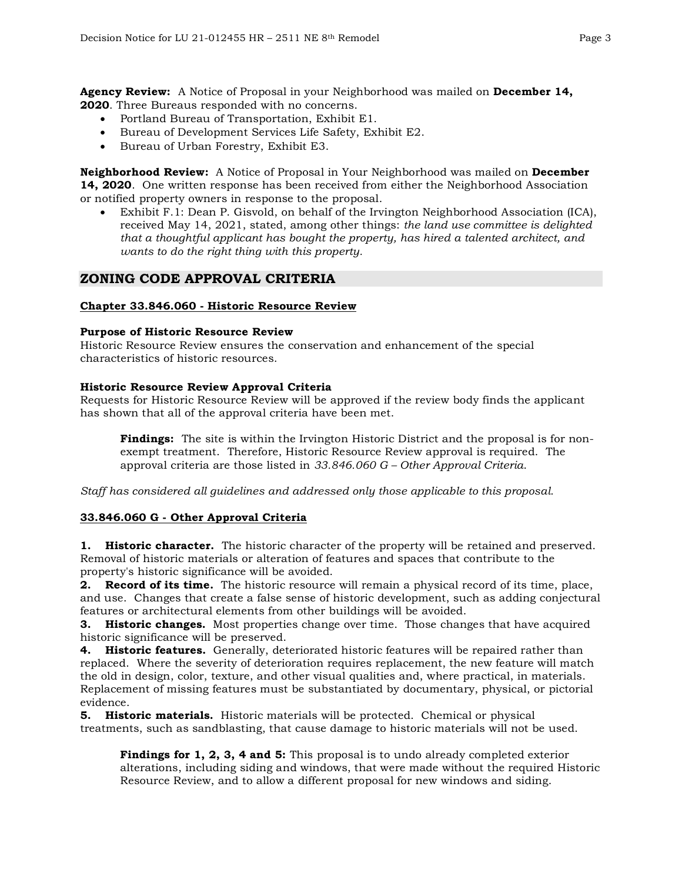**Agency Review:** A Notice of Proposal in your Neighborhood was mailed on **December 14, 2020**. Three Bureaus responded with no concerns.

- Portland Bureau of Transportation, Exhibit E1.
- Bureau of Development Services Life Safety, Exhibit E2.
- Bureau of Urban Forestry, Exhibit E3.

**Neighborhood Review:** A Notice of Proposal in Your Neighborhood was mailed on **December 14, 2020**. One written response has been received from either the Neighborhood Association or notified property owners in response to the proposal.

• Exhibit F.1: Dean P. Gisvold, on behalf of the Irvington Neighborhood Association (ICA), received May 14, 2021, stated, among other things: *the land use committee is delighted that a thoughtful applicant has bought the property, has hired a talented architect, and wants to do the right thing with this property.*

### **ZONING CODE APPROVAL CRITERIA**

#### **Chapter 33.846.060 - Historic Resource Review**

#### **Purpose of Historic Resource Review**

Historic Resource Review ensures the conservation and enhancement of the special characteristics of historic resources.

#### **Historic Resource Review Approval Criteria**

Requests for Historic Resource Review will be approved if the review body finds the applicant has shown that all of the approval criteria have been met.

**Findings:** The site is within the Irvington Historic District and the proposal is for nonexempt treatment. Therefore, Historic Resource Review approval is required. The approval criteria are those listed in *33.846.060 G – Other Approval Criteria*.

*Staff has considered all guidelines and addressed only those applicable to this proposal.*

### **33.846.060 G - Other Approval Criteria**

**1. Historic character.** The historic character of the property will be retained and preserved. Removal of historic materials or alteration of features and spaces that contribute to the property's historic significance will be avoided.

**2. Record of its time.** The historic resource will remain a physical record of its time, place, and use. Changes that create a false sense of historic development, such as adding conjectural features or architectural elements from other buildings will be avoided.

**3. Historic changes.** Most properties change over time. Those changes that have acquired historic significance will be preserved.

**4. Historic features.** Generally, deteriorated historic features will be repaired rather than replaced. Where the severity of deterioration requires replacement, the new feature will match the old in design, color, texture, and other visual qualities and, where practical, in materials. Replacement of missing features must be substantiated by documentary, physical, or pictorial evidence.

**5. Historic materials.** Historic materials will be protected. Chemical or physical treatments, such as sandblasting, that cause damage to historic materials will not be used.

**Findings for 1, 2, 3, 4 and 5:** This proposal is to undo already completed exterior alterations, including siding and windows, that were made without the required Historic Resource Review, and to allow a different proposal for new windows and siding.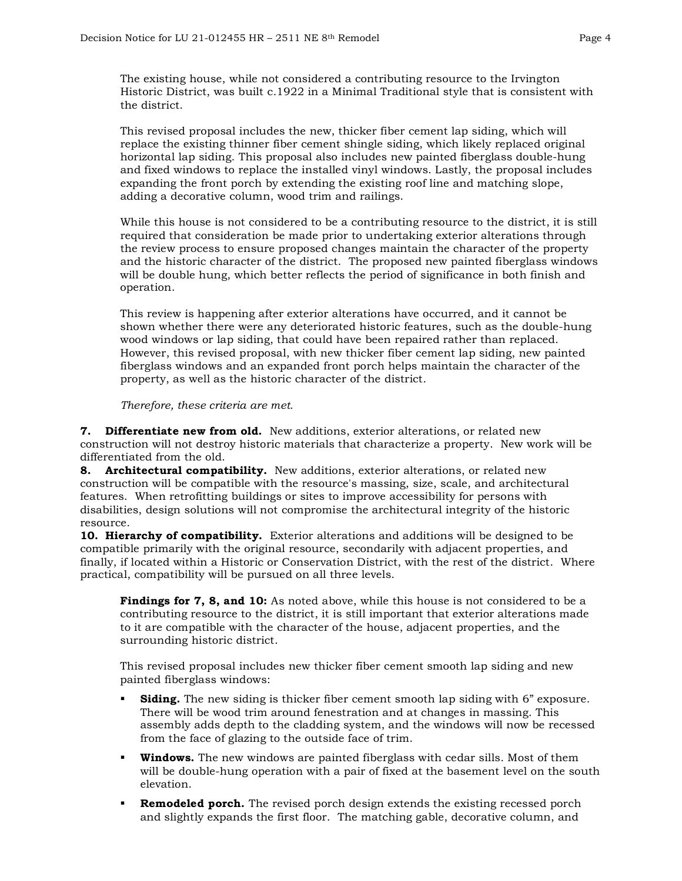The existing house, while not considered a contributing resource to the Irvington Historic District, was built c.1922 in a Minimal Traditional style that is consistent with the district.

This revised proposal includes the new, thicker fiber cement lap siding, which will replace the existing thinner fiber cement shingle siding, which likely replaced original horizontal lap siding. This proposal also includes new painted fiberglass double-hung and fixed windows to replace the installed vinyl windows. Lastly, the proposal includes expanding the front porch by extending the existing roof line and matching slope, adding a decorative column, wood trim and railings.

While this house is not considered to be a contributing resource to the district, it is still required that consideration be made prior to undertaking exterior alterations through the review process to ensure proposed changes maintain the character of the property and the historic character of the district. The proposed new painted fiberglass windows will be double hung, which better reflects the period of significance in both finish and operation.

This review is happening after exterior alterations have occurred, and it cannot be shown whether there were any deteriorated historic features, such as the double-hung wood windows or lap siding, that could have been repaired rather than replaced. However, this revised proposal, with new thicker fiber cement lap siding, new painted fiberglass windows and an expanded front porch helps maintain the character of the property, as well as the historic character of the district.

*Therefore, these criteria are met.*

**7. Differentiate new from old.** New additions, exterior alterations, or related new construction will not destroy historic materials that characterize a property. New work will be differentiated from the old.

**8. Architectural compatibility.** New additions, exterior alterations, or related new construction will be compatible with the resource's massing, size, scale, and architectural features. When retrofitting buildings or sites to improve accessibility for persons with disabilities, design solutions will not compromise the architectural integrity of the historic resource.

**10. Hierarchy of compatibility.** Exterior alterations and additions will be designed to be compatible primarily with the original resource, secondarily with adjacent properties, and finally, if located within a Historic or Conservation District, with the rest of the district. Where practical, compatibility will be pursued on all three levels.

**Findings for 7, 8, and 10:** As noted above, while this house is not considered to be a contributing resource to the district, it is still important that exterior alterations made to it are compatible with the character of the house, adjacent properties, and the surrounding historic district.

This revised proposal includes new thicker fiber cement smooth lap siding and new painted fiberglass windows:

- **Siding.** The new siding is thicker fiber cement smooth lap siding with 6" exposure. There will be wood trim around fenestration and at changes in massing. This assembly adds depth to the cladding system, and the windows will now be recessed from the face of glazing to the outside face of trim.
- **Windows.** The new windows are painted fiberglass with cedar sills. Most of them will be double-hung operation with a pair of fixed at the basement level on the south elevation.
- **Remodeled porch.** The revised porch design extends the existing recessed porch and slightly expands the first floor. The matching gable, decorative column, and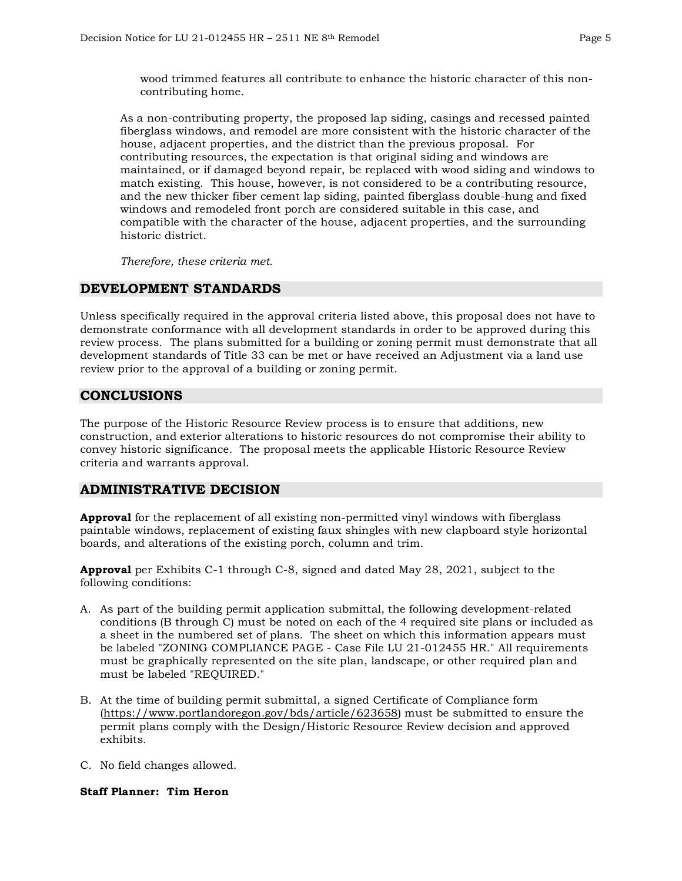wood trimmed features all contribute to enhance the historic character of this noncontributing home.

As a non-contributing property, the proposed lap siding, casings and recessed painted fiberglass windows, and remodel are more consistent with the historic character of the house, adjacent properties, and the district than the previous proposal. For contributing resources, the expectation is that original siding and windows are maintained, or if damaged beyond repair, be replaced with wood siding and windows to match existing. This house, however, is not considered to be a contributing resource, and the new thicker fiber cement lap siding, painted fiberglass double-hung and fixed windows and remodeled front porch are considered suitable in this case, and compatible with the character of the house, adjacent properties, and the surrounding historic district.

*Therefore, these criteria met.*

# **DEVELOPMENT STANDARDS**

Unless specifically required in the approval criteria listed above, this proposal does not have to demonstrate conformance with all development standards in order to be approved during this review process. The plans submitted for a building or zoning permit must demonstrate that all development standards of Title 33 can be met or have received an Adjustment via a land use review prior to the approval of a building or zoning permit.

## **CONCLUSIONS**

The purpose of the Historic Resource Review process is to ensure that additions, new construction, and exterior alterations to historic resources do not compromise their ability to convey historic significance. The proposal meets the applicable Historic Resource Review criteria and warrants approval.

## **ADMINISTRATIVE DECISION**

**Approval** for the replacement of all existing non-permitted vinyl windows with fiberglass paintable windows, replacement of existing faux shingles with new clapboard style horizontal boards, and alterations of the existing porch, column and trim.

**Approval** per Exhibits C-1 through C-8, signed and dated May 28, 2021, subject to the following conditions:

- A. As part of the building permit application submittal, the following development-related conditions (B through C) must be noted on each of the 4 required site plans or included as a sheet in the numbered set of plans. The sheet on which this information appears must be labeled "ZONING COMPLIANCE PAGE - Case File LU 21-012455 HR." All requirements must be graphically represented on the site plan, landscape, or other required plan and must be labeled "REQUIRED."
- B. At the time of building permit submittal, a signed Certificate of Compliance form [\(https://www.portlandoregon.gov/bds/article/623658\)](https://www.portlandoregon.gov/bds/article/623658) must be submitted to ensure the permit plans comply with the Design/Historic Resource Review decision and approved exhibits.
- C. No field changes allowed.

### **Staff Planner: Tim Heron**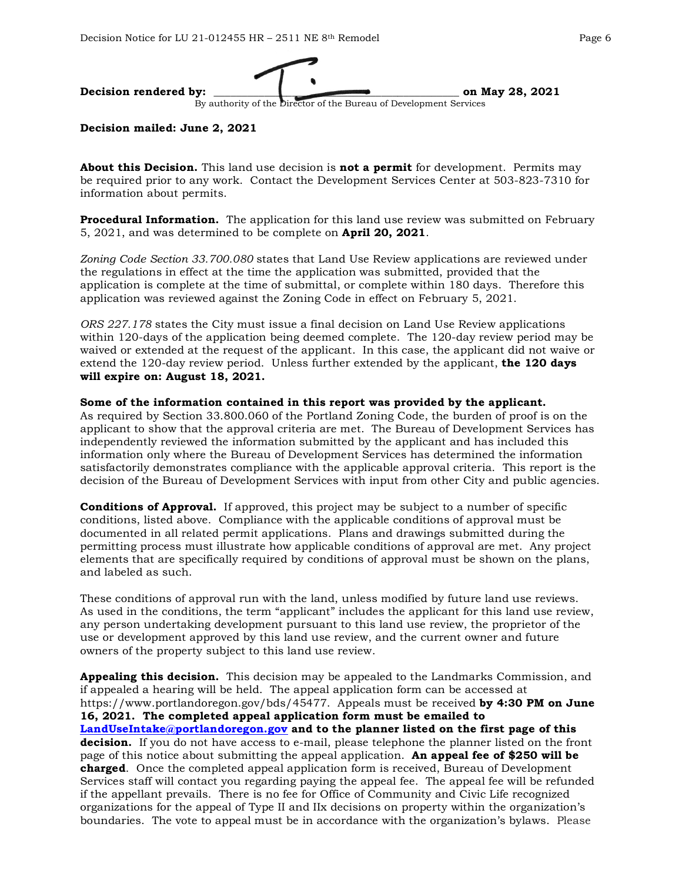

### **Decision mailed: June 2, 2021**

**About this Decision.** This land use decision is **not a permit** for development. Permits may be required prior to any work. Contact the Development Services Center at 503-823-7310 for information about permits.

**Procedural Information.** The application for this land use review was submitted on February 5, 2021, and was determined to be complete on **April 20, 2021**.

*Zoning Code Section 33.700.080* states that Land Use Review applications are reviewed under the regulations in effect at the time the application was submitted, provided that the application is complete at the time of submittal, or complete within 180 days. Therefore this application was reviewed against the Zoning Code in effect on February 5, 2021.

*ORS 227.178* states the City must issue a final decision on Land Use Review applications within 120-days of the application being deemed complete. The 120-day review period may be waived or extended at the request of the applicant. In this case, the applicant did not waive or extend the 120-day review period. Unless further extended by the applicant, **the 120 days will expire on: August 18, 2021.**

### **Some of the information contained in this report was provided by the applicant.**

As required by Section 33.800.060 of the Portland Zoning Code, the burden of proof is on the applicant to show that the approval criteria are met. The Bureau of Development Services has independently reviewed the information submitted by the applicant and has included this information only where the Bureau of Development Services has determined the information satisfactorily demonstrates compliance with the applicable approval criteria. This report is the decision of the Bureau of Development Services with input from other City and public agencies.

**Conditions of Approval.** If approved, this project may be subject to a number of specific conditions, listed above. Compliance with the applicable conditions of approval must be documented in all related permit applications. Plans and drawings submitted during the permitting process must illustrate how applicable conditions of approval are met. Any project elements that are specifically required by conditions of approval must be shown on the plans, and labeled as such.

These conditions of approval run with the land, unless modified by future land use reviews. As used in the conditions, the term "applicant" includes the applicant for this land use review, any person undertaking development pursuant to this land use review, the proprietor of the use or development approved by this land use review, and the current owner and future owners of the property subject to this land use review.

**Appealing this decision.** This decision may be appealed to the Landmarks Commission, and if appealed a hearing will be held. The appeal application form can be accessed at https://www.portlandoregon.gov/bds/45477. Appeals must be received **by 4:30 PM on June 16, 2021. The completed appeal application form must be emailed to [LandUseIntake@portlandoregon.gov](mailto:LandUseIntake@portlandoregon.gov) and to the planner listed on the first page of this decision.** If you do not have access to e-mail, please telephone the planner listed on the front page of this notice about submitting the appeal application. **An appeal fee of \$250 will be charged**. Once the completed appeal application form is received, Bureau of Development Services staff will contact you regarding paying the appeal fee. The appeal fee will be refunded if the appellant prevails. There is no fee for Office of Community and Civic Life recognized organizations for the appeal of Type II and IIx decisions on property within the organization's boundaries. The vote to appeal must be in accordance with the organization's bylaws. Please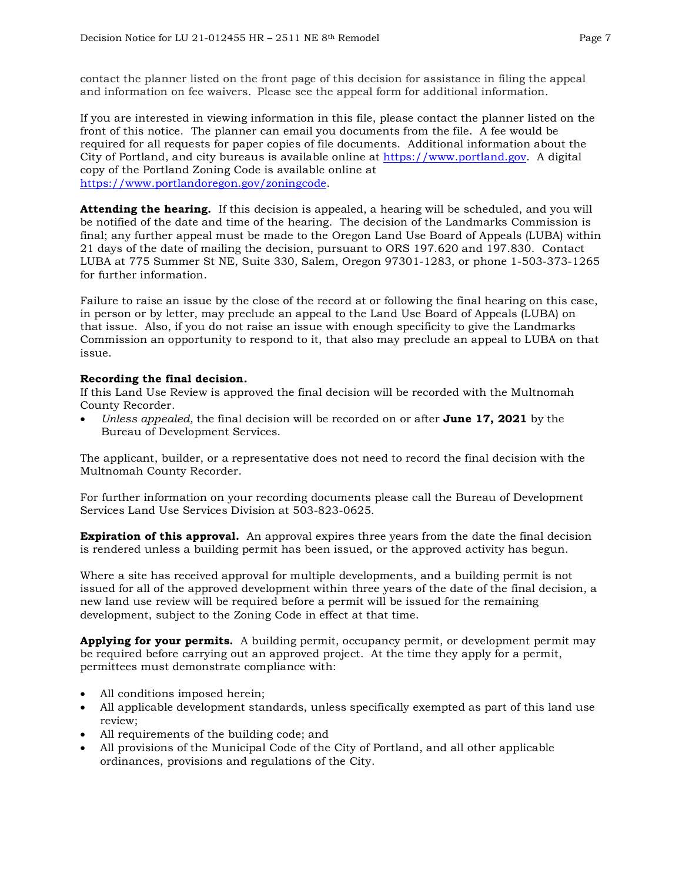contact the planner listed on the front page of this decision for assistance in filing the appeal and information on fee waivers. Please see the appeal form for additional information.

If you are interested in viewing information in this file, please contact the planner listed on the front of this notice. The planner can email you documents from the file. A fee would be required for all requests for paper copies of file documents. Additional information about the City of Portland, and city bureaus is available online at [https://www.portland.gov.](https://www.portland.gov/) A digital copy of the Portland Zoning Code is available online at [https://www.portlandoregon.gov/zoningcode.](https://www.portlandoregon.gov/zoningcode)

**Attending the hearing.** If this decision is appealed, a hearing will be scheduled, and you will be notified of the date and time of the hearing. The decision of the Landmarks Commission is final; any further appeal must be made to the Oregon Land Use Board of Appeals (LUBA) within 21 days of the date of mailing the decision, pursuant to ORS 197.620 and 197.830. Contact LUBA at 775 Summer St NE, Suite 330, Salem, Oregon 97301-1283, or phone 1-503-373-1265 for further information.

Failure to raise an issue by the close of the record at or following the final hearing on this case, in person or by letter, may preclude an appeal to the Land Use Board of Appeals (LUBA) on that issue. Also, if you do not raise an issue with enough specificity to give the Landmarks Commission an opportunity to respond to it, that also may preclude an appeal to LUBA on that issue.

### **Recording the final decision.**

If this Land Use Review is approved the final decision will be recorded with the Multnomah County Recorder.

• *Unless appealed,* the final decision will be recorded on or after **June 17, 2021** by the Bureau of Development Services.

The applicant, builder, or a representative does not need to record the final decision with the Multnomah County Recorder.

For further information on your recording documents please call the Bureau of Development Services Land Use Services Division at 503-823-0625.

**Expiration of this approval.** An approval expires three years from the date the final decision is rendered unless a building permit has been issued, or the approved activity has begun.

Where a site has received approval for multiple developments, and a building permit is not issued for all of the approved development within three years of the date of the final decision, a new land use review will be required before a permit will be issued for the remaining development, subject to the Zoning Code in effect at that time.

**Applying for your permits.** A building permit, occupancy permit, or development permit may be required before carrying out an approved project. At the time they apply for a permit, permittees must demonstrate compliance with:

- All conditions imposed herein;
- All applicable development standards, unless specifically exempted as part of this land use review;
- All requirements of the building code; and
- All provisions of the Municipal Code of the City of Portland, and all other applicable ordinances, provisions and regulations of the City.